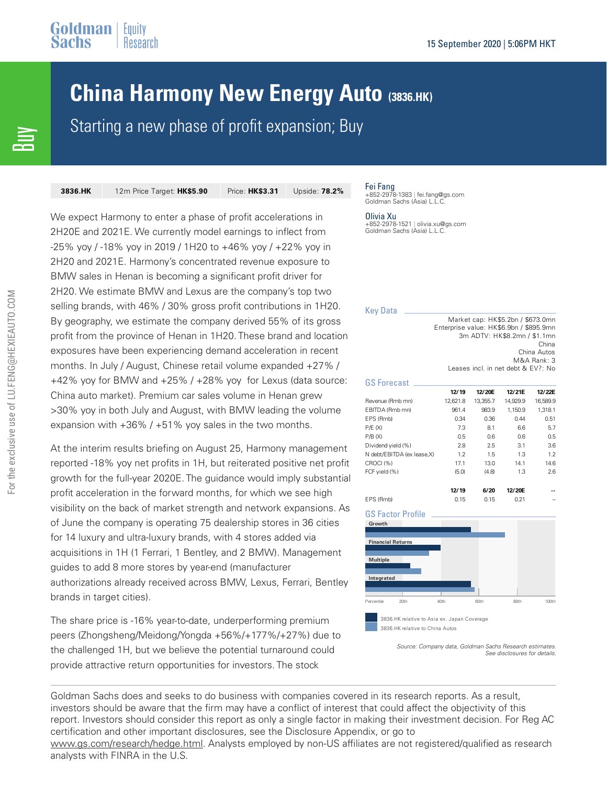# **China Harmony New Energy Auto (3836.HK)**

Starting a new phase of profit expansion; Buy

**3836.HK** 12m Price Target: **HK\$5.90** Price: **HK\$3.31** Upside: **78.2%**

We expect Harmony to enter a phase of profit accelerations in 2H20E and 2021E. We currently model earnings to inflect from -25% yoy / -18% yoy in 2019 / 1H20 to +46% yoy / +22% yoy in 2H20 and 2021E. Harmony's concentrated revenue exposure to BMW sales in Henan is becoming a significant profit driver for 2H20. We estimate BMW and Lexus are the company's top two selling brands, with 46% / 30% gross profit contributions in 1H20. By geography, we estimate the company derived 55% of its gross profit from the province of Henan in 1H20. These brand and location exposures have been experiencing demand acceleration in recent months. In July / August, Chinese retail volume expanded +27% / +42% yoy for BMW and +25% / +28% yoy for Lexus (data source: China auto market). Premium car sales volume in Henan grew >30% yoy in both July and August, with BMW leading the volume expansion with +36% / +51% yoy sales in the two months.

At the interim results briefing on August 25, Harmony management reported -18% yoy net profits in 1H, but reiterated positive net profit growth for the full-year 2020E. The guidance would imply substantial profit acceleration in the forward months, for which we see high visibility on the back of market strength and network expansions. As of June the company is operating 75 dealership stores in 36 cities for 14 luxury and ultra-luxury brands, with 4 stores added via acquisitions in 1H (1 Ferrari, 1 Bentley, and 2 BMW). Management guides to add 8 more stores by year-end (manufacturer authorizations already received across BMW, Lexus, Ferrari, Bentley brands in target cities).

The share price is -16% year-to-date, underperforming premium peers (Zhongsheng/Meidong/Yongda +56%/+177%/+27%) due to the challenged 1H, but we believe the potential turnaround could provide attractive return opportunities for investors. The stock

Fei Fang +852-2978-1383 | [fei.fang@gs.com](mailto:fei.fang@gs.com?subject=Starting%20a%20new%20phase%20of%20profit%20expansion%3B%20Buy) Goldman Sachs (Asia) L.L.C.

Olivia Xu +852-2978-1521 | [olivia.xu@gs.com](mailto:olivia.xu@gs.com?subject=Starting%20a%20new%20phase%20of%20profit%20expansion%3B%20Buy) Goldman Sachs (Asia) L.L.C.

#### Key Data \_\_\_\_\_\_\_\_\_\_\_\_\_\_\_\_\_\_\_\_\_\_\_\_\_\_\_\_\_\_\_\_\_\_

Market cap: HK\$5.2bn / \$673.0mn Enterprise value: HK\$6.9bn / \$895.9mn 3m ADTV: HK\$8.2mn / \$1.1mn China China Autos M&A Rank: 3 Leases incl. in net debt & EV?: No

| <b>GS Forecast</b>         |          |          |          |          |
|----------------------------|----------|----------|----------|----------|
|                            | 12/19    | 12/20E   | 12/21E   | 12/22E   |
| Revenue (Rmb mn)           | 12.621.8 | 13.355.7 | 14.929.9 | 16.589.9 |
| EBITDA (Rmb mn)            | 961.4    | 983.9    | 1.150.9  | 1.318.1  |
| EPS (Rmb)                  | 0.34     | 0.36     | 0.44     | 0.51     |
| P/E(X)                     | 7.3      | 8.1      | 6.6      | 5.7      |
| P/B(X)                     | 0.5      | 0.6      | 0.6      | 0.5      |
| Dividend yield (%)         | 2.8      | 2.5      | 3.1      | 3.6      |
| N debt/EBITDA (ex lease.X) | 1.2      | 1.5      | 1.3      | 1.2      |
| CROCI(%)                   | 17.1     | 13.0     | 14.1     | 14.6     |
| FCF yield (%)              | (5.0)    | (4.8)    | 1.3      | 2.6      |
|                            |          |          |          |          |

**12/19** 6/20 12/20E EPS (Rmb) 0.15 0.15 0.21 --

**GS Factor Profile** 



3836.HK relative to Asia ex. Japan Coverage 3836.HK relative to China Autos

> Source: Company data, Goldman Sachs Research estimates. See disclosures for details.

Goldman Sachs does and seeks to do business with companies covered in its research reports. As a result, investors should be aware that the firm may have a conflict of interest that could affect the objectivity of this report. Investors should consider this report as only a single factor in making their investment decision. For Reg AC certification and other important disclosures, see the Disclosure Appendix, or go to

[www.gs.com/research/hedge.html.](https://www.gs.com/research/hedge.html) Analysts employed by non-US affiliates are not registered/qualified as research analysts with FINRA in the U.S.

 $\Xi$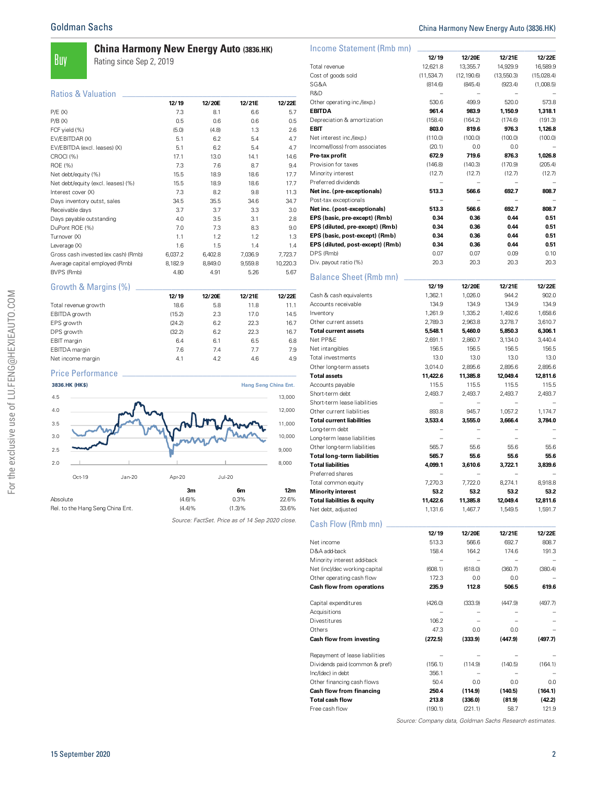## **China Harmony New Energy Auto (3836.HK)**

Buy Rating since Sep 2, 2019

#### Ratios & Valuation \_\_\_\_\_\_\_\_\_\_\_\_\_\_\_\_\_\_\_\_\_\_\_\_\_\_\_\_\_\_\_\_\_\_\_\_\_\_\_

|                                     | 12/19   | 12/20E  | 12/21E  | 12/22E   |
|-------------------------------------|---------|---------|---------|----------|
| P/E(X)                              | 7.3     | 8.1     | 6.6     | 5.7      |
| P/B(X)                              | 0.5     | 0.6     | 0.6     | 0.5      |
| FCF yield (%)                       | (5.0)   | (4.8)   | 1.3     | 2.6      |
| EV/EBITDAR (X)                      | 5.1     | 6.2     | 5.4     | 4.7      |
| EV/EBITDA (excl. leases) (X)        | 5.1     | 6.2     | 5.4     | 4.7      |
| CROCI (%)                           | 17.1    | 13.0    | 14.1    | 14.6     |
| ROE (%)                             | 7.3     | 7.6     | 8.7     | 9.4      |
| Net debt/equity (%)                 | 15.5    | 18.9    | 18.6    | 17.7     |
| Net debt/equity (excl. leases) (%)  | 15.5    | 18.9    | 18.6    | 17.7     |
| Interest cover (X)                  | 7.3     | 8.2     | 9.8     | 11.3     |
| Days inventory outst, sales         | 34.5    | 35.5    | 34.6    | 34.7     |
| Receivable days                     | 3.7     | 3.7     | 3.3     | 3.0      |
| Days payable outstanding            | 4.0     | 3.5     | 3.1     | 2.8      |
| DuPont ROE (%)                      | 7.0     | 7.3     | 8.3     | 9.0      |
| Turnover (X)                        | 1.1     | 1.2     | 1.2     | 1.3      |
| Leverage (X)                        | 1.6     | 1.5     | 1.4     | 1.4      |
| Gross cash invested (ex cash) (Rmb) | 6,037.2 | 6,402.8 | 7,036.9 | 7,723.7  |
| Average capital employed (Rmb)      | 8,182.9 | 8,849.0 | 9,559.8 | 10,220.3 |
| BVPS (Rmb)                          | 4.80    | 4.91    | 5.26    | 5.67     |
|                                     |         |         |         |          |

#### Growth & Margins (%) \_\_\_\_\_\_\_\_\_\_\_\_\_\_\_\_\_\_\_\_\_\_\_\_\_\_\_\_\_\_\_\_\_\_\_\_

|                      | 12/19  | 12/20E | 12/21E | 12/22E |
|----------------------|--------|--------|--------|--------|
| Total revenue growth | 18.6   | 5.8    | 11.8   | 11.1   |
| EBITDA growth        | (15.2) | 2.3    | 17.0   | 14.5   |
| EPS growth           | (24.2) | 6.2    | 22.3   | 16.7   |
| DPS growth           | (32.2) | 6.2    | 22.3   | 16.7   |
| EBIT margin          | 6.4    | 6.1    | 6.5    | 6.8    |
| EBITDA margin        | 7.6    | 7.4    | 7.7    | 7.9    |
| Net income margin    | 4.1    | 4.2    | 4.6    | 4.9    |
|                      |        |        |        |        |



Source: FactSet. Price as of 14 Sep 2020 close.

|  |  | China Harmony New Energy Auto (3836.HK) |
|--|--|-----------------------------------------|
|--|--|-----------------------------------------|

| Income Statement (Rmb mn)                                 |                        |                         |                         |                    |
|-----------------------------------------------------------|------------------------|-------------------------|-------------------------|--------------------|
|                                                           | 12/19                  | 12/20E                  | 12/21E                  | 12/22E<br>16,589.9 |
| Total revenue<br>Cost of goods sold                       | 12,621.8<br>(11,534.7) | 13,355.7<br>(12, 190.6) | 14,929.9<br>(13, 550.3) | (15,028.4)         |
| SG&A                                                      | (814.6)                | (845.4)                 | (923.4)                 | (1,008.5)          |
| R&D                                                       |                        |                         |                         |                    |
| Other operating inc./(exp.)                               | 530.6                  | 499.9                   | 520.0                   | 573.8              |
| <b>EBITDA</b>                                             | 961.4                  | 983.9                   | 1,150.9                 | 1,318.1            |
| Depreciation & amortization                               | (158.4)                | (164.2)                 | (174.6)                 | (191.3)            |
| <b>EBIT</b>                                               | 803.0                  | 819.6                   | 976.3                   | 1,126.8            |
| Net interest inc./(exp.)                                  | (110.0)                | (100.0)                 | (100.0)                 | (100.0)            |
| Income/(loss) from associates                             | (20.1)                 | 0.0                     | 0.0                     |                    |
| Pre-tax profit                                            | 672.9                  | 719.6                   | 876.3                   | 1,026.8            |
| Provision for taxes                                       | (146.8)                | (140.3)                 | (170.9)                 | (205.4)            |
| Minority interest                                         | (12.7)                 | (12.7)                  | (12.7)                  | (12.7)             |
| Preferred dividends<br>Net inc. (pre-exceptionals)        | 513.3                  | 566.6                   | 692.7                   | 808.7              |
| Post-tax exceptionals                                     |                        |                         |                         |                    |
| Net inc. (post-exceptionals)                              | 513.3                  | 566.6                   | 692.7                   | 808.7              |
| EPS (basic, pre-except) (Rmb)                             | 0.34                   | 0.36                    | 0.44                    | 0.51               |
| EPS (diluted, pre-except) (Rmb)                           | 0.34                   | 0.36                    | 0.44                    | 0.51               |
| EPS (basic, post-except) (Rmb)                            | 0.34                   | 0.36                    | 0.44                    | 0.51               |
| EPS (diluted, post-except) (Rmb)                          | 0.34                   | 0.36                    | 0.44                    | 0.51               |
| DPS (Rmb)                                                 | 0.07                   | 0.07                    | 0.09                    | 0.10               |
| Div. payout ratio (%)                                     | 20.3                   | 20.3                    | 20.3                    | 20.3               |
| <b>Balance Sheet (Rmb mn)</b>                             |                        |                         |                         |                    |
|                                                           | 12/19                  | 12/20E                  | 12/21E                  | 12/22E             |
| Cash & cash equivalents                                   | 1,362.1                | 1,026.0                 | 944.2                   | 902.0              |
| Accounts receivable                                       | 134.9                  | 134.9                   | 134.9                   | 134.9              |
| Inventory                                                 | 1,261.9                | 1,335.2                 | 1,492.6                 | 1,658.6            |
| Other current assets                                      | 2,789.3                | 2,963.8                 | 3,278.7                 | 3,610.7            |
| <b>Total current assets</b>                               | 5,548.1                | 5,460.0                 | 5,850.3                 | 6,306.1            |
| Net PP&E                                                  | 2,691.1                | 2,860.7                 | 3,134.0                 | 3,440.4            |
| Net intangibles                                           | 156.5                  | 156.5                   | 156.5                   | 156.5              |
| Total investments                                         | 13.0                   | 13.0                    | 13.0                    | 13.0               |
| Other long-term assets                                    | 3,014.0                | 2,895.6                 | 2,895.6                 | 2,895.6            |
| <b>Total assets</b>                                       | 11,422.6               | 11,385.8                | 12,049.4                | 12,811.6           |
| Accounts payable                                          | 115.5                  | 115.5                   | 115.5                   | 115.5              |
| Short-term debt                                           | 2,493.7                | 2,493.7                 | 2,493.7                 | 2,493.7            |
| Short-term lease liabilities<br>Other current liabilities | 893.8                  | 945.7                   | 1,057.2                 | 1,174.7            |
| <b>Total current liabilities</b>                          | 3,533.4                | 3,555.0                 | 3,666.4                 | 3,784.0            |
| Long-term debt                                            |                        |                         |                         |                    |
| Long-term lease liabilities                               |                        |                         |                         |                    |
| Other long-term liabilities                               | 565.7                  | 55.6                    | 55.6                    | 55.6               |
| <b>Total long-term liabilities</b>                        | 565.7                  | 55.6                    | 55.6                    | 55.6               |
| <b>Total liabilities</b>                                  | 4.099.1                | 3,610.6                 | 3,722.1                 | 3,839.6            |
| Preferred shares                                          | ۰                      | $\qquad \qquad -$       | -                       | -                  |
| Total common equity                                       | 7,270.3                | 7,722.0                 | 8,274.1                 | 8,918.8            |
| <b>Minority interest</b>                                  | 53.2                   | 53.2                    | 53.2                    | 53.2               |
| <b>Total liabilities &amp; equity</b>                     | 11,422.6               | 11,385.8                | 12,049.4                | 12,811.6           |
| Net debt, adjusted                                        | 1,131.6                | 1,467.7                 | 1,549.5                 | 1,591.7            |
| Cash Flow (Rmb mn)                                        |                        |                         |                         |                    |
|                                                           | 12/19                  | 12/20E                  | 12/21E                  | 12/22E             |
| Net income                                                | 513.3                  | 566.6                   | 692.7                   | 808.7              |
| D&A add-back                                              | 158.4                  | 164.2                   | 174.6                   | 191.3              |
| Minority interest add-back                                |                        |                         | -                       |                    |
| Net (inc)/dec working capital                             | (608.1)                | (618.0)                 | (360.7)                 | (380.4)            |
| Other operating cash flow                                 | 172.3                  | 0.0                     | 0.0                     |                    |
| Cash flow from operations                                 | 235.9                  | 112.8                   | 506.5                   | 619.6              |
| Capital expenditures                                      | (426.0)                | (333.9)                 | (447.9)                 | (497.7)            |
| Acquisitions                                              |                        |                         |                         |                    |
| Divestitures                                              | 106.2                  | ÷,                      | $\qquad \qquad -$       |                    |
| Others                                                    | 47.3                   | 0.0                     | 0.0                     |                    |
| Cash flow from investing                                  | (272.5)                | (333.9)                 | (447.9)                 | (497.7)            |
|                                                           |                        |                         |                         |                    |
| Repayment of lease liabilities                            |                        |                         |                         |                    |
| Dividends paid (common & pref)                            | (156.1)                | (114.9)                 | (140.5)                 | (164.1)            |
| Inc/(dec) in debt                                         | 356.1                  |                         |                         |                    |
| Other financing cash flows                                | 50.4<br>250.4          | 0.0                     | 0.0                     | 0.0                |
| Cash flow from financing<br><b>Total cash flow</b>        | 213.8                  | (114.9)<br>(336.0)      | (140.5)<br>(81.9)       | (164.1)<br>(42.2)  |
| Free cash flow                                            | (190.1)                | (221.1)                 | 58.7                    | 121.9              |
|                                                           |                        |                         |                         |                    |

Source: Company data, Goldman Sachs Research estimates.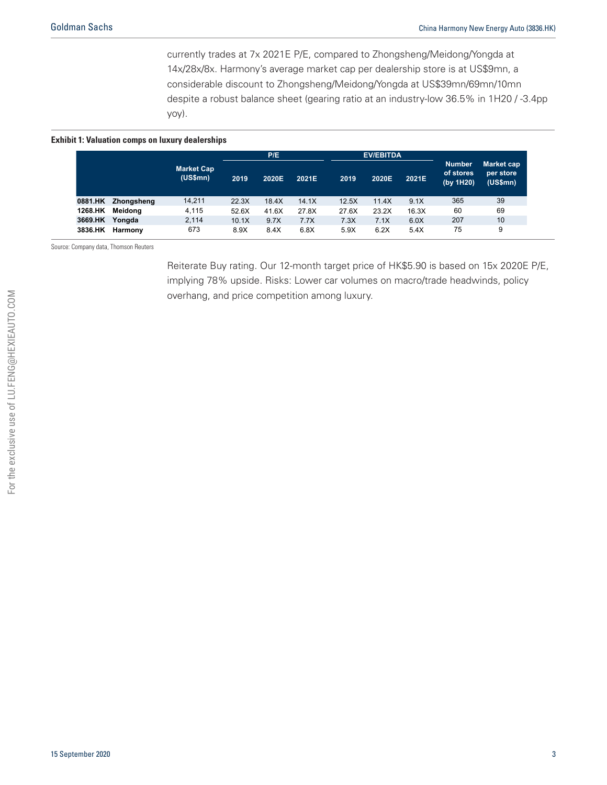currently trades at 7x 2021E P/E, compared to Zhongsheng/Meidong/Yongda at 14x/28x/8x. Harmony's average market cap per dealership store is at US\$9mn, a considerable discount to Zhongsheng/Meidong/Yongda at US\$39mn/69mn/10mn despite a robust balance sheet (gearing ratio at an industry-low 36.5% in 1H20 / -3.4pp yoy).

#### **Exhibit 1: Valuation comps on luxury dealerships**

|         |            |                               | P/E   |       |       | <b>EV/EBITDA</b> |       |       |                                         |                                            |
|---------|------------|-------------------------------|-------|-------|-------|------------------|-------|-------|-----------------------------------------|--------------------------------------------|
|         |            | <b>Market Cap</b><br>(US\$mn) | 2019  | 2020E | 2021E | 2019             | 2020E | 2021E | <b>Number</b><br>of stores<br>(by 1H20) | <b>Market cap</b><br>per store<br>(US\$mm) |
| 0881.HK | Zhongsheng | 14,211                        | 22.3X | 18.4X | 14.1X | 12.5X            | 11.4X | 9.1X  | 365                                     | 39                                         |
| 1268.HK | Meidong    | 4.115                         | 52.6X | 41.6X | 27.8X | 27.6X            | 23.2X | 16.3X | 60                                      | 69                                         |
| 3669.HK | Yongda     | 2,114                         | 10.1X | 9.7X  | 7.7X  | 7.3X             | 7.1X  | 6.0X  | 207                                     | 10                                         |
| 3836.HK | Harmony    | 673                           | 8.9X  | 8.4X  | 6.8X  | 5.9X             | 6.2X  | 5.4X  | 75                                      | 9                                          |

Source: Company data, Thomson Reuters

Reiterate Buy rating. Our 12-month target price of HK\$5.90 is based on 15x 2020E P/E, implying 78% upside. Risks: Lower car volumes on macro/trade headwinds, policy overhang, and price competition among luxury.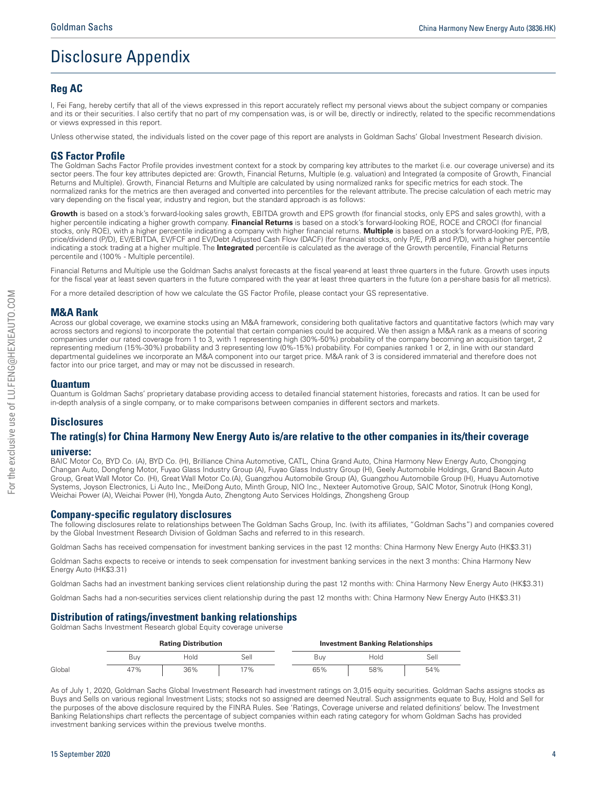## Disclosure Appendix

## **Reg AC**

I, Fei Fang, hereby certify that all of the views expressed in this report accurately reflect my personal views about the subject company or companies and its or their securities. I also certify that no part of my compensation was, is or will be, directly or indirectly, related to the specific recommendations or views expressed in this report.

Unless otherwise stated, the individuals listed on the cover page of this report are analysts in Goldman Sachs' Global Investment Research division.

## **GS Factor Profile**

The Goldman Sachs Factor Profile provides investment context for a stock by comparing key attributes to the market (i.e. our coverage universe) and its sector peers. The four key attributes depicted are: Growth, Financial Returns, Multiple (e.g. valuation) and Integrated (a composite of Growth, Financial Returns and Multiple). Growth, Financial Returns and Multiple are calculated by using normalized ranks for specific metrics for each stock. The normalized ranks for the metrics are then averaged and converted into percentiles for the relevant attribute. The precise calculation of each metric may vary depending on the fiscal year, industry and region, but the standard approach is as follows:

Growth is based on a stock's forward-looking sales growth, EBITDA growth and EPS growth (for financial stocks, only EPS and sales growth), with a higher percentile indicating a higher growth company. **Financial Returns** is based on a stock's forward-looking ROE, ROCE and CROCI (for financial stocks, only ROE), with a higher percentile indicating a company with higher financial returns. **Multiple** is based on a stock's forward-looking P/E, P/B, price/dividend (P/D), EV/EBITDA, EV/FCF and EV/Debt Adjusted Cash Flow (DACF) (for financial stocks, only P/E, P/B and P/D), with a higher percentile indicating a stock trading at a higher multiple. The **Integrated** percentile is calculated as the average of the Growth percentile, Financial Returns percentile and (100% - Multiple percentile).

Financial Returns and Multiple use the Goldman Sachs analyst forecasts at the fiscal year-end at least three quarters in the future. Growth uses inputs for the fiscal year at least seven quarters in the future compared with the year at least three quarters in the future (on a per-share basis for all metrics).

For a more detailed description of how we calculate the GS Factor Profile, please contact your GS representative.

#### **M&A Rank**

Across our global coverage, we examine stocks using an M&A framework, considering both qualitative factors and quantitative factors (which may vary across sectors and regions) to incorporate the potential that certain companies could be acquired. We then assign a M&A rank as a means of scoring companies under our rated coverage from 1 to 3, with 1 representing high (30%-50%) probability of the company becoming an acquisition target, 2 representing medium (15%-30%) probability and 3 representing low (0%-15%) probability. For companies ranked 1 or 2, in line with our standard departmental guidelines we incorporate an M&A component into our target price. M&A rank of 3 is considered immaterial and therefore does not factor into our price target, and may or may not be discussed in research.

## **Quantum**

Quantum is Goldman Sachs' proprietary database providing access to detailed financial statement histories, forecasts and ratios. It can be used for in-depth analysis of a single company, or to make comparisons between companies in different sectors and markets.

## **Disclosures**

#### **The rating(s) for China Harmony New Energy Auto is/are relative to the other companies in its/their coverage**

#### **universe:**

BAIC Motor Co, BYD Co. (A), BYD Co. (H), Brilliance China Automotive, CATL, China Grand Auto, China Harmony New Energy Auto, Chongqing Changan Auto, Dongfeng Motor, Fuyao Glass Industry Group (A), Fuyao Glass Industry Group (H), Geely Automobile Holdings, Grand Baoxin Auto Group, Great Wall Motor Co. (H), Great Wall Motor Co.(A), Guangzhou Automobile Group (A), Guangzhou Automobile Group (H), Huayu Automotive Systems, Joyson Electronics, Li Auto Inc., MeiDong Auto, Minth Group, NIO Inc., Nexteer Automotive Group, SAIC Motor, Sinotruk (Hong Kong), Weichai Power (A), Weichai Power (H), Yongda Auto, Zhengtong Auto Services Holdings, Zhongsheng Group

#### **Company-specific regulatory disclosures**

The following disclosures relate to relationships between The Goldman Sachs Group, Inc. (with its affiliates, "Goldman Sachs") and companies covered by the Global Investment Research Division of Goldman Sachs and referred to in this research.

Goldman Sachs has received compensation for investment banking services in the past 12 months: China Harmony New Energy Auto (HK\$3.31)

Goldman Sachs expects to receive or intends to seek compensation for investment banking services in the next 3 months: China Harmony New Energy Auto (HK\$3.31)

Goldman Sachs had an investment banking services client relationship during the past 12 months with: China Harmony New Energy Auto (HK\$3.31)

Goldman Sachs had a non-securities services client relationship during the past 12 months with: China Harmony New Energy Auto (HK\$3.31)

#### **Distribution of ratings/investment banking relationships**

Goldman Sachs Investment Research global Equity coverage universe

|        | <b>Rating Distribution</b> |      |      |     | <b>Investment Banking Relationships</b> |      |
|--------|----------------------------|------|------|-----|-----------------------------------------|------|
|        | Buv                        | Hold | Sell | Buv | Hold                                    | Sell |
| Global | 47%                        | 36%  | 17%  | 65% | 58%                                     | 54%  |

As of July 1, 2020, Goldman Sachs Global Investment Research had investment ratings on 3,015 equity securities. Goldman Sachs assigns stocks as Buys and Sells on various regional Investment Lists; stocks not so assigned are deemed Neutral. Such assignments equate to Buy, Hold and Sell for the purposes of the above disclosure required by the FINRA Rules. See 'Ratings, Coverage universe and related definitions' below. The Investment Banking Relationships chart reflects the percentage of subject companies within each rating category for whom Goldman Sachs has provided investment banking services within the previous twelve months.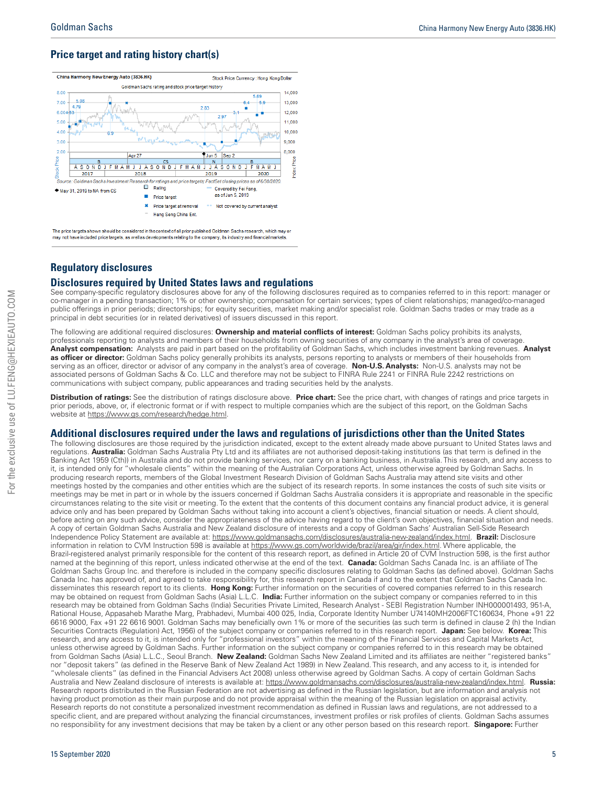## **Price target and rating history chart(s)**



The price targets shown should be considered in the context of all prior published Goldman Sachs research, which may or may not have included price targets, as well as developments relating to the company, its industry and financial markets

## **Regulatory disclosures**

#### **Disclosures required by United States laws and regulations**

See company-specific regulatory disclosures above for any of the following disclosures required as to companies referred to in this report: manager or co-manager in a pending transaction; 1% or other ownership; compensation for certain services; types of client relationships; managed/co-managed public offerings in prior periods; directorships; for equity securities, market making and/or specialist role. Goldman Sachs trades or may trade as a principal in debt securities (or in related derivatives) of issuers discussed in this report.

The following are additional required disclosures: **Ownership and material conflicts of interest:** Goldman Sachs policy prohibits its analysts, professionals reporting to analysts and members of their households from owning securities of any company in the analyst's area of coverage. **Analyst compensation:** Analysts are paid in part based on the profitability of Goldman Sachs, which includes investment banking revenues. **Analyst** as officer or director: Goldman Sachs policy generally prohibits its analysts, persons reporting to analysts or members of their households from serving as an officer, director or advisor of any company in the analyst's area of coverage. **Non-U.S. Analysts:** Non-U.S. analysts may not be associated persons of Goldman Sachs & Co. LLC and therefore may not be subject to FINRA Rule 2241 or FINRA Rule 2242 restrictions on communications with subject company, public appearances and trading securities held by the analysts.

**Distribution of ratings:** See the distribution of ratings disclosure above. **Price chart:** See the price chart, with changes of ratings and price targets in prior periods, above, or, if electronic format or if with respect to multiple companies which are the subject of this report, on the Goldman Sachs website at [https://www.gs.com/research/hedge.html.](https://www.gs.com/research/hedge.html)

#### **Additional disclosures required under the laws and regulations of jurisdictions other than the United States**

The following disclosures are those required by the jurisdiction indicated, except to the extent already made above pursuant to United States laws and regulations. **Australia:** Goldman Sachs Australia Pty Ltd and its affiliates are not authorised deposit-taking institutions (as that term is defined in the Banking Act 1959 (Cth)) in Australia and do not provide banking services, nor carry on a banking business, in Australia. This research, and any access to it, is intended only for "wholesale clients" within the meaning of the Australian Corporations Act, unless otherwise agreed by Goldman Sachs. In producing research reports, members of the Global Investment Research Division of Goldman Sachs Australia may attend site visits and other meetings hosted by the companies and other entities which are the subject of its research reports. In some instances the costs of such site visits or meetings may be met in part or in whole by the issuers concerned if Goldman Sachs Australia considers it is appropriate and reasonable in the specific circumstances relating to the site visit or meeting. To the extent that the contents of this document contains any financial product advice, it is general advice only and has been prepared by Goldman Sachs without taking into account a client's objectives, financial situation or needs. A client should, before acting on any such advice, consider the appropriateness of the advice having regard to the client's own objectives, financial situation and needs. A copy of certain Goldman Sachs Australia and New Zealand disclosure of interests and a copy of Goldman Sachs' Australian Sell-Side Research Independence Policy Statement are available at: [https://www.goldmansachs.com/disclosures/australia-new-zealand/index.html.](https://www.goldmansachs.com/disclosures/australia-new-zealand/index.html) **Brazil:** Disclosure information in relation to CVM Instruction 598 is available at [https://www.gs.com/worldwide/brazil/area/gir/index.html.](https://www.gs.com/worldwide/brazil/area/gir/index.html) Where applicable, the Brazil-registered analyst primarily responsible for the content of this research report, as defined in Article 20 of CVM Instruction 598, is the first author named at the beginning of this report, unless indicated otherwise at the end of the text. **Canada:** Goldman Sachs Canada Inc. is an affiliate of The Goldman Sachs Group Inc. and therefore is included in the company specific disclosures relating to Goldman Sachs (as defined above). Goldman Sachs Canada Inc. has approved of, and agreed to take responsibility for, this research report in Canada if and to the extent that Goldman Sachs Canada Inc. disseminates this research report to its clients. **Hong Kong:** Further information on the securities of covered companies referred to in this research may be obtained on request from Goldman Sachs (Asia) L.L.C. **India:** Further information on the subject company or companies referred to in this research may be obtained from Goldman Sachs (India) Securities Private Limited, Research Analyst - SEBI Registration Number INH000001493, 951-A, Rational House, Appasaheb Marathe Marg, Prabhadevi, Mumbai 400 025, India, Corporate Identity Number U74140MH2006FTC160634, Phone +91 22 6616 9000, Fax +91 22 6616 9001. Goldman Sachs may beneficially own 1% or more of the securities (as such term is defined in clause 2 (h) the Indian Securities Contracts (Regulation) Act, 1956) of the subject company or companies referred to in this research report. **Japan:** See below. **Korea:** This research, and any access to it, is intended only for "professional investors" within the meaning of the Financial Services and Capital Markets Act, unless otherwise agreed by Goldman Sachs. Further information on the subject company or companies referred to in this research may be obtained from Goldman Sachs (Asia) L.L.C., Seoul Branch. **New Zealand:** Goldman Sachs New Zealand Limited and its affiliates are neither "registered banks" nor "deposit takers" (as defined in the Reserve Bank of New Zealand Act 1989) in New Zealand. This research, and any access to it, is intended for "wholesale clients" (as defined in the Financial Advisers Act 2008) unless otherwise agreed by Goldman Sachs. A copy of certain Goldman Sachs Australia and New Zealand disclosure of interests is available at: [https://www.goldmansachs.com/disclosures/australia-new-zealand/index.html.](https://www.goldmansachs.com/disclosures/australia-new-zealand/index.html) **Russia:** Research reports distributed in the Russian Federation are not advertising as defined in the Russian legislation, but are information and analysis not having product promotion as their main purpose and do not provide appraisal within the meaning of the Russian legislation on appraisal activity. Research reports do not constitute a personalized investment recommendation as defined in Russian laws and regulations, are not addressed to a specific client, and are prepared without analyzing the financial circumstances, investment profiles or risk profiles of clients. Goldman Sachs assumes no responsibility for any investment decisions that may be taken by a client or any other person based on this research report. **Singapore:** Further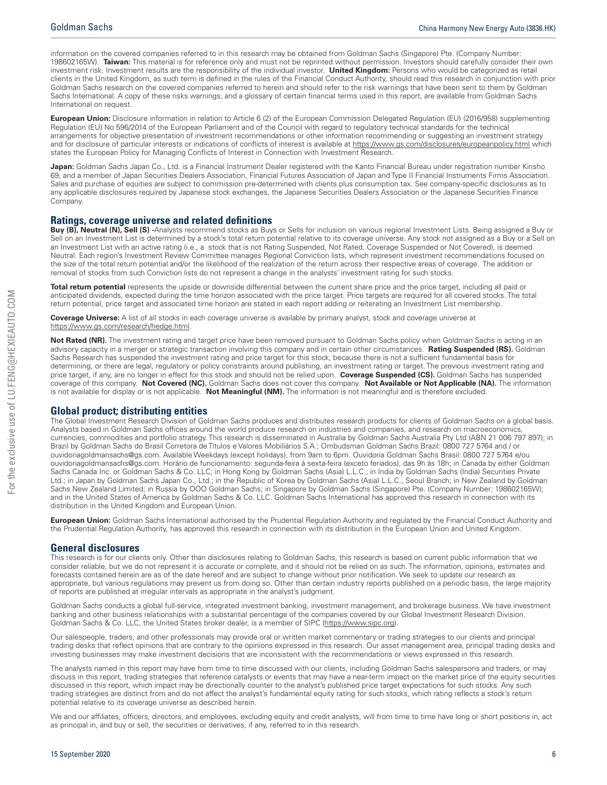information on the covered companies referred to in this research may be obtained from Goldman Sachs (Singapore) Pte. (Company Number: 198602165W). **Taiwan:** This material is for reference only and must not be reprinted without permission. Investors should carefully consider their own investment risk. Investment results are the responsibility of the individual investor. **United Kingdom:** Persons who would be categorized as retail clients in the United Kingdom, as such term is defined in the rules of the Financial Conduct Authority, should read this research in conjunction with prior Goldman Sachs research on the covered companies referred to herein and should refer to the risk warnings that have been sent to them by Goldman Sachs International. A copy of these risks warnings, and a glossary of certain financial terms used in this report, are available from Goldman Sachs International on request.

**European Union:** Disclosure information in relation to Article 6 (2) of the European Commission Delegated Regulation (EU) (2016/958) supplementing Regulation (EU) No 596/2014 of the European Parliament and of the Council with regard to regulatory technical standards for the technical arrangements for objective presentation of investment recommendations or other information recommending or suggesting an investment strategy and for disclosure of particular interests or indications of conflicts of interest is available at<https://www.gs.com/disclosures/europeanpolicy.html>which states the European Policy for Managing Conflicts of Interest in Connection with Investment Research.

**Japan:** Goldman Sachs Japan Co., Ltd. is a Financial Instrument Dealer registered with the Kanto Financial Bureau under registration number Kinsho 69, and a member of Japan Securities Dealers Association, Financial Futures Association of Japan and Type II Financial Instruments Firms Association. Sales and purchase of equities are subject to commission pre-determined with clients plus consumption tax. See company-specific disclosures as to any applicable disclosures required by Japanese stock exchanges, the Japanese Securities Dealers Association or the Japanese Securities Finance Company.

#### **Ratings, coverage universe and related definitions**

**Buy (B), Neutral (N), Sell (S) -**Analysts recommend stocks as Buys or Sells for inclusion on various regional Investment Lists. Being assigned a Buy or Sell on an Investment List is determined by a stock's total return potential relative to its coverage universe. Any stock not assigned as a Buy or a Sell on an Investment List with an active rating (i.e., a stock that is not Rating Suspended, Not Rated, Coverage Suspended or Not Covered), is deemed Neutral. Each region's Investment Review Committee manages Regional Conviction lists, which represent investment recommendations focused on the size of the total return potential and/or the likelihood of the realization of the return across their respective areas of coverage. The addition or removal of stocks from such Conviction lists do not represent a change in the analysts' investment rating for such stocks.

Total return potential represents the upside or downside differential between the current share price and the price target, including all paid or anticipated dividends, expected during the time horizon associated with the price target. Price targets are required for all covered stocks. The total return potential, price target and associated time horizon are stated in each report adding or reiterating an Investment List membership.

**Coverage Universe:** A list of all stocks in each coverage universe is available by primary analyst, stock and coverage universe at [https://www.gs.com/research/hedge.html.](https://www.gs.com/research/hedge.html)

**Not Rated (NR).** The investment rating and target price have been removed pursuant to Goldman Sachs policy when Goldman Sachs is acting in an advisory capacity in a merger or strategic transaction involving this company and in certain other circumstances. **Rating Suspended (RS).** Goldman Sachs Research has suspended the investment rating and price target for this stock, because there is not a sufficient fundamental basis for determining, or there are legal, regulatory or policy constraints around publishing, an investment rating or target. The previous investment rating and price target, if any, are no longer in effect for this stock and should not be relied upon. **Coverage Suspended (CS).** Goldman Sachs has suspended coverage of this company. **Not Covered (NC).** Goldman Sachs does not cover this company. **Not Available or Not Applicable (NA).** The information is not available for display or is not applicable. **Not Meaningful (NM).** The information is not meaningful and is therefore excluded.

#### **Global product; distributing entities**

The Global Investment Research Division of Goldman Sachs produces and distributes research products for clients of Goldman Sachs on a global basis. Analysts based in Goldman Sachs offices around the world produce research on industries and companies, and research on macroeconomics, currencies, commodities and portfolio strategy. This research is disseminated in Australia by Goldman Sachs Australia Pty Ltd (ABN 21 006 797 897); in Brazil by Goldman Sachs do Brasil Corretora de Títulos e Valores Mobiliários S.A.; Ombudsman Goldman Sachs Brazil: 0800 727 5764 and / or ouvidoriagoldmansachs@gs.com. Available Weekdays (except holidays), from 9am to 6pm. Ouvidoria Goldman Sachs Brasil: 0800 727 5764 e/ou ouvidoriagoldmansachs@gs.com. Horário de funcionamento: segunda-feira à sexta-feira (exceto feriados), das 9h às 18h; in Canada by either Goldman Sachs Canada Inc. or Goldman Sachs & Co. LLC; in Hong Kong by Goldman Sachs (Asia) L.L.C.; in India by Goldman Sachs (India) Securities Private Ltd.; in Japan by Goldman Sachs Japan Co., Ltd.; in the Republic of Korea by Goldman Sachs (Asia) L.L.C., Seoul Branch; in New Zealand by Goldman Sachs New Zealand Limited; in Russia by OOO Goldman Sachs; in Singapore by Goldman Sachs (Singapore) Pte. (Company Number: 198602165W); and in the United States of America by Goldman Sachs & Co. LLC. Goldman Sachs International has approved this research in connection with its distribution in the United Kingdom and European Union.

**European Union:** Goldman Sachs International authorised by the Prudential Regulation Authority and regulated by the Financial Conduct Authority and the Prudential Regulation Authority, has approved this research in connection with its distribution in the European Union and United Kingdom.

#### **General disclosures**

This research is for our clients only. Other than disclosures relating to Goldman Sachs, this research is based on current public information that we consider reliable, but we do not represent it is accurate or complete, and it should not be relied on as such. The information, opinions, estimates and forecasts contained herein are as of the date hereof and are subject to change without prior notification. We seek to update our research as appropriate, but various regulations may prevent us from doing so. Other than certain industry reports published on a periodic basis, the large majority of reports are published at irregular intervals as appropriate in the analyst's judgment.

Goldman Sachs conducts a global full-service, integrated investment banking, investment management, and brokerage business. We have investment banking and other business relationships with a substantial percentage of the companies covered by our Global Investment Research Division. Goldman Sachs & Co. LLC, the United States broker dealer, is a member of SIPC [\(https://www.sipc.org\)](https://www.sipc.org).

Our salespeople, traders, and other professionals may provide oral or written market commentary or trading strategies to our clients and principal trading desks that reflect opinions that are contrary to the opinions expressed in this research. Our asset management area, principal trading desks and investing businesses may make investment decisions that are inconsistent with the recommendations or views expressed in this research.

The analysts named in this report may have from time to time discussed with our clients, including Goldman Sachs salespersons and traders, or may discuss in this report, trading strategies that reference catalysts or events that may have a near-term impact on the market price of the equity securities discussed in this report, which impact may be directionally counter to the analyst's published price target expectations for such stocks. Any such trading strategies are distinct from and do not affect the analyst's fundamental equity rating for such stocks, which rating reflects a stock's return potential relative to its coverage universe as described herein.

We and our affiliates, officers, directors, and employees, excluding equity and credit analysts, will from time to time have long or short positions in, act as principal in, and buy or sell, the securities or derivatives, if any, referred to in this research.